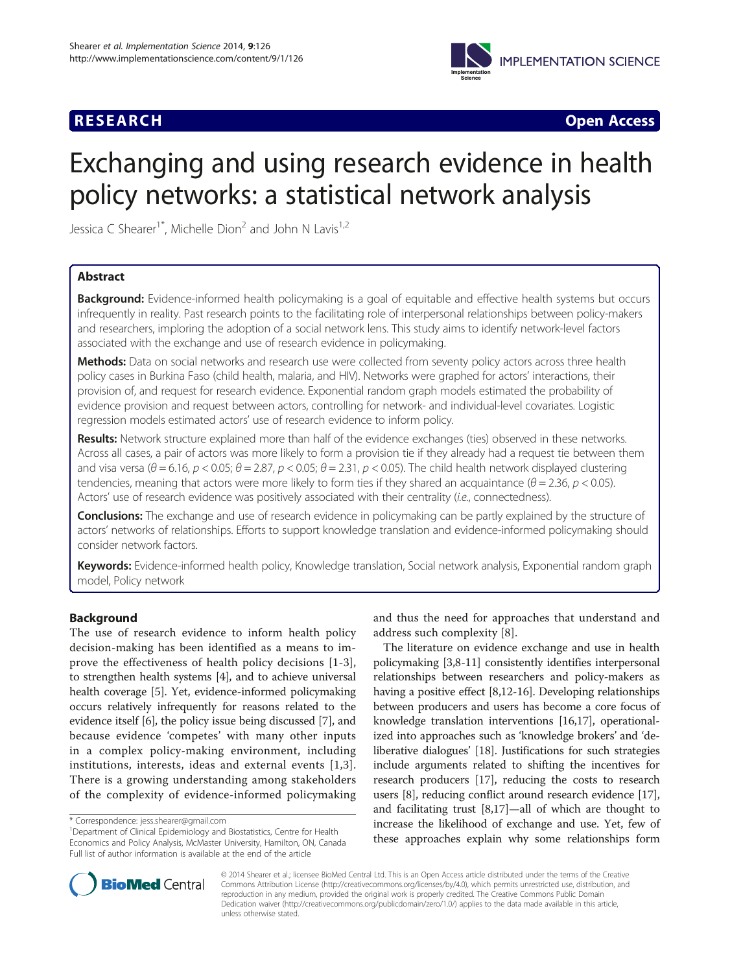## **RESEARCH CHINESE ARCH CHINESE ARCH CHINESE ARCH <b>CHINESE ARCH**



# Exchanging and using research evidence in health policy networks: a statistical network analysis

Jessica C Shearer<sup>1\*</sup>, Michelle Dion<sup>2</sup> and John N Lavis<sup>1,2</sup>

## Abstract

Background: Evidence-informed health policymaking is a goal of equitable and effective health systems but occurs infrequently in reality. Past research points to the facilitating role of interpersonal relationships between policy-makers and researchers, imploring the adoption of a social network lens. This study aims to identify network-level factors associated with the exchange and use of research evidence in policymaking.

Methods: Data on social networks and research use were collected from seventy policy actors across three health policy cases in Burkina Faso (child health, malaria, and HIV). Networks were graphed for actors' interactions, their provision of, and request for research evidence. Exponential random graph models estimated the probability of evidence provision and request between actors, controlling for network- and individual-level covariates. Logistic regression models estimated actors' use of research evidence to inform policy.

Results: Network structure explained more than half of the evidence exchanges (ties) observed in these networks. Across all cases, a pair of actors was more likely to form a provision tie if they already had a request tie between them and visa versa ( $\theta$  = 6.16, p < 0.05;  $\theta$  = 2.87, p < 0.05;  $\theta$  = 2.31, p < 0.05). The child health network displayed clustering tendencies, meaning that actors were more likely to form ties if they shared an acquaintance ( $\theta$  = 2.36, p < 0.05). Actors' use of research evidence was positively associated with their centrality (i.e., connectedness).

Conclusions: The exchange and use of research evidence in policymaking can be partly explained by the structure of actors' networks of relationships. Efforts to support knowledge translation and evidence-informed policymaking should consider network factors.

Keywords: Evidence-informed health policy, Knowledge translation, Social network analysis, Exponential random graph model, Policy network

## Background

The use of research evidence to inform health policy decision-making has been identified as a means to improve the effectiveness of health policy decisions [[1-3](#page-10-0)], to strengthen health systems [\[4](#page-10-0)], and to achieve universal health coverage [\[5](#page-10-0)]. Yet, evidence-informed policymaking occurs relatively infrequently for reasons related to the evidence itself [[6\]](#page-10-0), the policy issue being discussed [\[7\]](#page-10-0), and because evidence 'competes' with many other inputs in a complex policy-making environment, including institutions, interests, ideas and external events [[1,3](#page-10-0)]. There is a growing understanding among stakeholders of the complexity of evidence-informed policymaking

and thus the need for approaches that understand and address such complexity [[8\]](#page-11-0).

The literature on evidence exchange and use in health policymaking [[3](#page-10-0)[,8](#page-11-0)-[11](#page-11-0)] consistently identifies interpersonal relationships between researchers and policy-makers as having a positive effect [\[8,12-16\]](#page-11-0). Developing relationships between producers and users has become a core focus of knowledge translation interventions [\[16,17](#page-11-0)], operationalized into approaches such as 'knowledge brokers' and 'deliberative dialogues' [[18](#page-11-0)]. Justifications for such strategies include arguments related to shifting the incentives for research producers [[17](#page-11-0)], reducing the costs to research users [\[8](#page-11-0)], reducing conflict around research evidence [[17](#page-11-0)], and facilitating trust [[8,17](#page-11-0)]—all of which are thought to increase the likelihood of exchange and use. Yet, few of these approaches explain why some relationships form



© 2014 Shearer et al.; licensee BioMed Central Ltd. This is an Open Access article distributed under the terms of the Creative Commons Attribution License [\(http://creativecommons.org/licenses/by/4.0\)](http://creativecommons.org/licenses/by/4.0), which permits unrestricted use, distribution, and reproduction in any medium, provided the original work is properly credited. The Creative Commons Public Domain Dedication waiver [\(http://creativecommons.org/publicdomain/zero/1.0/](http://creativecommons.org/publicdomain/zero/1.0/)) applies to the data made available in this article, unless otherwise stated.

<sup>\*</sup> Correspondence: [jess.shearer@gmail.com](mailto:jess.shearer@gmail.com) <sup>1</sup>

<sup>&</sup>lt;sup>1</sup>Department of Clinical Epidemiology and Biostatistics, Centre for Health Economics and Policy Analysis, McMaster University, Hamilton, ON, Canada Full list of author information is available at the end of the article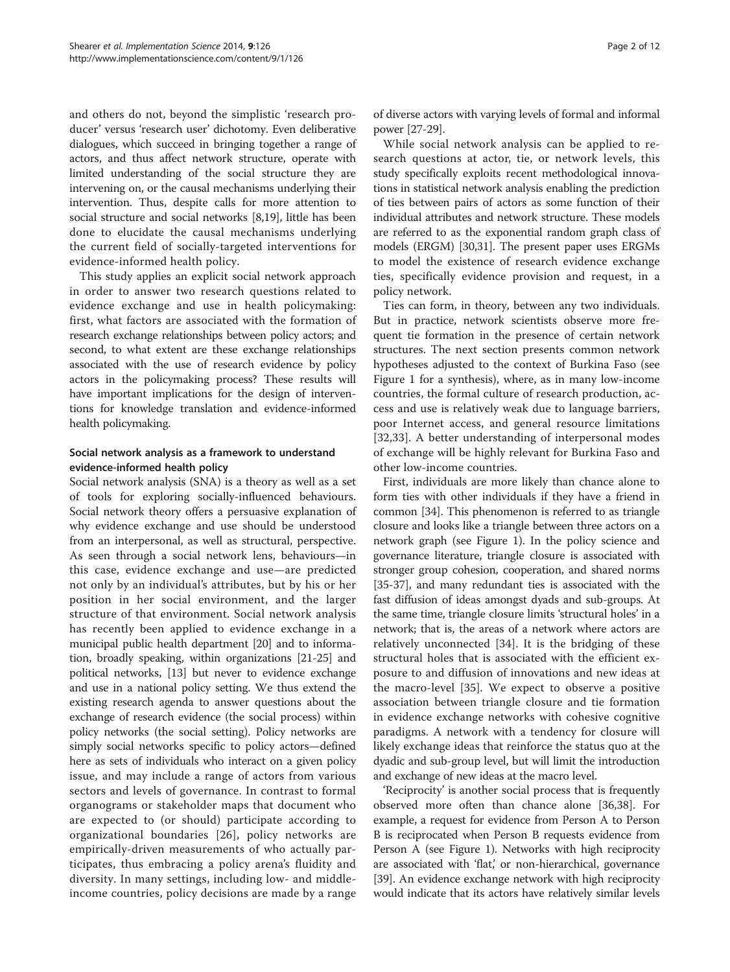and others do not, beyond the simplistic 'research producer' versus 'research user' dichotomy. Even deliberative dialogues, which succeed in bringing together a range of actors, and thus affect network structure, operate with limited understanding of the social structure they are intervening on, or the causal mechanisms underlying their intervention. Thus, despite calls for more attention to social structure and social networks [[8,19](#page-11-0)], little has been done to elucidate the causal mechanisms underlying the current field of socially-targeted interventions for evidence-informed health policy.

This study applies an explicit social network approach in order to answer two research questions related to evidence exchange and use in health policymaking: first, what factors are associated with the formation of research exchange relationships between policy actors; and second, to what extent are these exchange relationships associated with the use of research evidence by policy actors in the policymaking process? These results will have important implications for the design of interventions for knowledge translation and evidence-informed health policymaking.

## Social network analysis as a framework to understand evidence-informed health policy

Social network analysis (SNA) is a theory as well as a set of tools for exploring socially-influenced behaviours. Social network theory offers a persuasive explanation of why evidence exchange and use should be understood from an interpersonal, as well as structural, perspective. As seen through a social network lens, behaviours—in this case, evidence exchange and use—are predicted not only by an individual's attributes, but by his or her position in her social environment, and the larger structure of that environment. Social network analysis has recently been applied to evidence exchange in a municipal public health department [\[20\]](#page-11-0) and to information, broadly speaking, within organizations [\[21](#page-11-0)-[25](#page-11-0)] and political networks, [[13](#page-11-0)] but never to evidence exchange and use in a national policy setting. We thus extend the existing research agenda to answer questions about the exchange of research evidence (the social process) within policy networks (the social setting). Policy networks are simply social networks specific to policy actors—defined here as sets of individuals who interact on a given policy issue, and may include a range of actors from various sectors and levels of governance. In contrast to formal organograms or stakeholder maps that document who are expected to (or should) participate according to organizational boundaries [\[26\]](#page-11-0), policy networks are empirically-driven measurements of who actually participates, thus embracing a policy arena's fluidity and diversity. In many settings, including low- and middleincome countries, policy decisions are made by a range

of diverse actors with varying levels of formal and informal power [\[27-29](#page-11-0)].

While social network analysis can be applied to research questions at actor, tie, or network levels, this study specifically exploits recent methodological innovations in statistical network analysis enabling the prediction of ties between pairs of actors as some function of their individual attributes and network structure. These models are referred to as the exponential random graph class of models (ERGM) [[30,31\]](#page-11-0). The present paper uses ERGMs to model the existence of research evidence exchange ties, specifically evidence provision and request, in a policy network.

Ties can form, in theory, between any two individuals. But in practice, network scientists observe more frequent tie formation in the presence of certain network structures. The next section presents common network hypotheses adjusted to the context of Burkina Faso (see Figure [1](#page-2-0) for a synthesis), where, as in many low-income countries, the formal culture of research production, access and use is relatively weak due to language barriers, poor Internet access, and general resource limitations [[32,33](#page-11-0)]. A better understanding of interpersonal modes of exchange will be highly relevant for Burkina Faso and other low-income countries.

First, individuals are more likely than chance alone to form ties with other individuals if they have a friend in common [[34](#page-11-0)]. This phenomenon is referred to as triangle closure and looks like a triangle between three actors on a network graph (see Figure [1](#page-2-0)). In the policy science and governance literature, triangle closure is associated with stronger group cohesion, cooperation, and shared norms [[35](#page-11-0)-[37\]](#page-11-0), and many redundant ties is associated with the fast diffusion of ideas amongst dyads and sub-groups. At the same time, triangle closure limits 'structural holes' in a network; that is, the areas of a network where actors are relatively unconnected [[34\]](#page-11-0). It is the bridging of these structural holes that is associated with the efficient exposure to and diffusion of innovations and new ideas at the macro-level [[35\]](#page-11-0). We expect to observe a positive association between triangle closure and tie formation in evidence exchange networks with cohesive cognitive paradigms. A network with a tendency for closure will likely exchange ideas that reinforce the status quo at the dyadic and sub-group level, but will limit the introduction and exchange of new ideas at the macro level.

'Reciprocity' is another social process that is frequently observed more often than chance alone [[36,38](#page-11-0)]. For example, a request for evidence from Person A to Person B is reciprocated when Person B requests evidence from Person A (see Figure [1\)](#page-2-0). Networks with high reciprocity are associated with 'flat,' or non-hierarchical, governance [[39](#page-11-0)]. An evidence exchange network with high reciprocity would indicate that its actors have relatively similar levels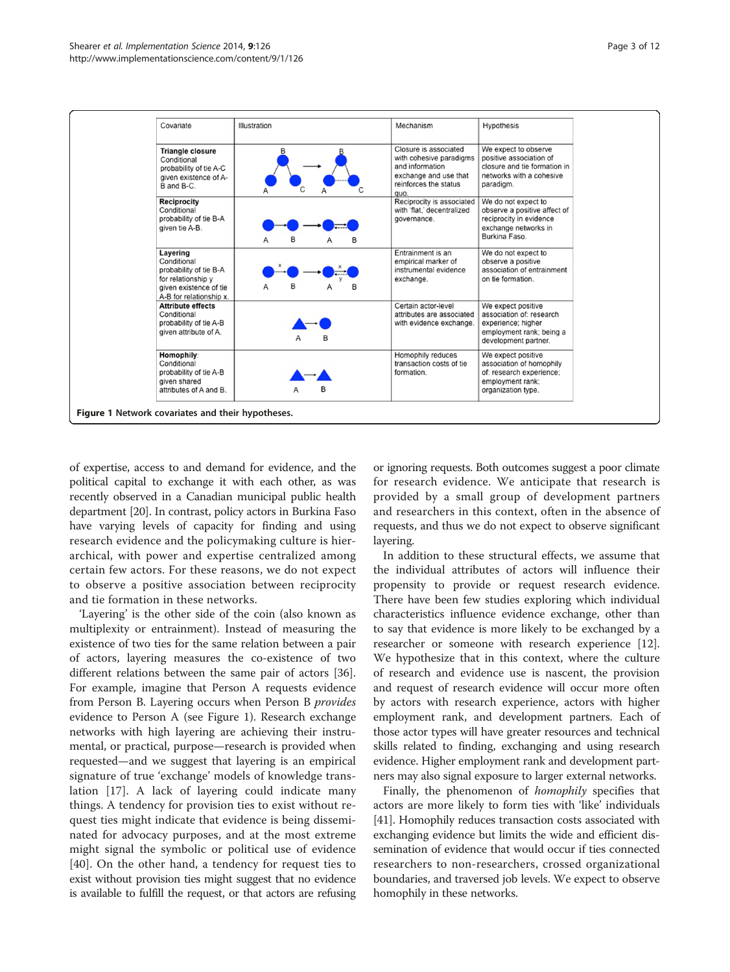<span id="page-2-0"></span>

| Covariate                                                                                                                    | Illustration | Mechanism                                                                                                                     | Hypothesis                                                                                                               |
|------------------------------------------------------------------------------------------------------------------------------|--------------|-------------------------------------------------------------------------------------------------------------------------------|--------------------------------------------------------------------------------------------------------------------------|
| <b>Triangle closure</b><br>Conditional<br>probability of tie A-C<br>given existence of A-<br>B and B-C.                      |              | Closure is associated<br>with cohesive paradigms<br>and information<br>exchange and use that<br>reinforces the status<br>quo. | We expect to observe<br>positive association of<br>closure and tie formation in<br>networks with a cohesive<br>paradigm. |
| <b>Reciprocity</b><br>Conditional<br>probability of tie B-A<br>given tie A-B.                                                | B<br>В       | Reciprocity is associated<br>with 'flat,' decentralized<br>governance.                                                        | We do not expect to<br>observe a positive affect of<br>reciprocity in evidence<br>exchange networks in<br>Burkina Faso.  |
| Layering<br>Conditional<br>probability of tie B-A<br>for relationship y<br>given existence of tie<br>A-B for relationship x. | в            | Entrainment is an<br>empirical marker of<br>instrumental evidence<br>exchange.                                                | We do not expect to<br>observe a positive<br>association of entrainment<br>on tie formation.                             |
| <b>Attribute effects</b><br>Conditional<br>probability of tie A-B<br>given attribute of A.                                   | B<br>Α       | Certain actor-level<br>attributes are associated<br>with evidence exchange.                                                   | We expect positive<br>association of: research<br>experience; higher<br>employment rank; being a<br>development partner. |
| Homophily:<br>Conditional<br>probability of tie A-B<br>given shared<br>attributes of A and B.                                | в            | Homophily reduces<br>transaction costs of tie<br>formation.                                                                   | We expect positive<br>association of homophily<br>of: research experience;<br>employment rank;<br>organization type.     |

of expertise, access to and demand for evidence, and the political capital to exchange it with each other, as was recently observed in a Canadian municipal public health department [[20](#page-11-0)]. In contrast, policy actors in Burkina Faso have varying levels of capacity for finding and using research evidence and the policymaking culture is hierarchical, with power and expertise centralized among certain few actors. For these reasons, we do not expect to observe a positive association between reciprocity and tie formation in these networks.

'Layering' is the other side of the coin (also known as multiplexity or entrainment). Instead of measuring the existence of two ties for the same relation between a pair of actors, layering measures the co-existence of two different relations between the same pair of actors [\[36](#page-11-0)]. For example, imagine that Person A requests evidence from Person B. Layering occurs when Person B provides evidence to Person A (see Figure 1). Research exchange networks with high layering are achieving their instrumental, or practical, purpose—research is provided when requested—and we suggest that layering is an empirical signature of true 'exchange' models of knowledge translation [[17\]](#page-11-0). A lack of layering could indicate many things. A tendency for provision ties to exist without request ties might indicate that evidence is being disseminated for advocacy purposes, and at the most extreme might signal the symbolic or political use of evidence [[40\]](#page-11-0). On the other hand, a tendency for request ties to exist without provision ties might suggest that no evidence is available to fulfill the request, or that actors are refusing

or ignoring requests. Both outcomes suggest a poor climate for research evidence. We anticipate that research is provided by a small group of development partners and researchers in this context, often in the absence of requests, and thus we do not expect to observe significant layering.

In addition to these structural effects, we assume that the individual attributes of actors will influence their propensity to provide or request research evidence. There have been few studies exploring which individual characteristics influence evidence exchange, other than to say that evidence is more likely to be exchanged by a researcher or someone with research experience [\[12](#page-11-0)]. We hypothesize that in this context, where the culture of research and evidence use is nascent, the provision and request of research evidence will occur more often by actors with research experience, actors with higher employment rank, and development partners. Each of those actor types will have greater resources and technical skills related to finding, exchanging and using research evidence. Higher employment rank and development partners may also signal exposure to larger external networks.

Finally, the phenomenon of homophily specifies that actors are more likely to form ties with 'like' individuals [[41](#page-11-0)]. Homophily reduces transaction costs associated with exchanging evidence but limits the wide and efficient dissemination of evidence that would occur if ties connected researchers to non-researchers, crossed organizational boundaries, and traversed job levels. We expect to observe homophily in these networks.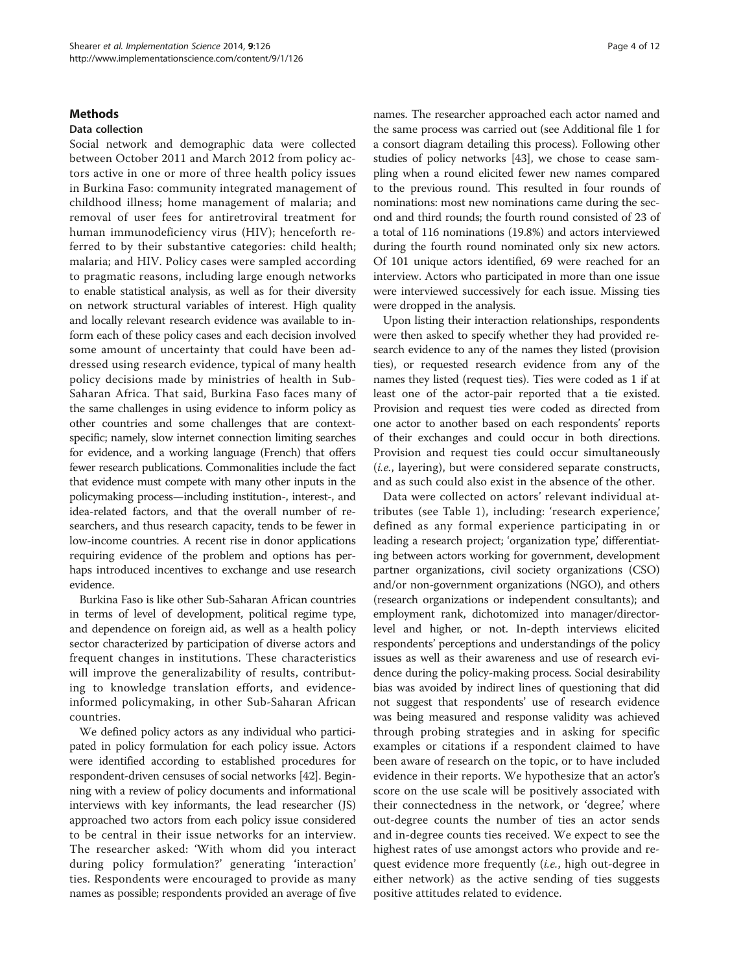#### **Methods**

## Data collection

Social network and demographic data were collected between October 2011 and March 2012 from policy actors active in one or more of three health policy issues in Burkina Faso: community integrated management of childhood illness; home management of malaria; and removal of user fees for antiretroviral treatment for human immunodeficiency virus (HIV); henceforth referred to by their substantive categories: child health; malaria; and HIV. Policy cases were sampled according to pragmatic reasons, including large enough networks to enable statistical analysis, as well as for their diversity on network structural variables of interest. High quality and locally relevant research evidence was available to inform each of these policy cases and each decision involved some amount of uncertainty that could have been addressed using research evidence, typical of many health policy decisions made by ministries of health in Sub-Saharan Africa. That said, Burkina Faso faces many of the same challenges in using evidence to inform policy as other countries and some challenges that are contextspecific; namely, slow internet connection limiting searches for evidence, and a working language (French) that offers fewer research publications. Commonalities include the fact that evidence must compete with many other inputs in the policymaking process—including institution-, interest-, and idea-related factors, and that the overall number of researchers, and thus research capacity, tends to be fewer in low-income countries. A recent rise in donor applications requiring evidence of the problem and options has perhaps introduced incentives to exchange and use research evidence.

Burkina Faso is like other Sub-Saharan African countries in terms of level of development, political regime type, and dependence on foreign aid, as well as a health policy sector characterized by participation of diverse actors and frequent changes in institutions. These characteristics will improve the generalizability of results, contributing to knowledge translation efforts, and evidenceinformed policymaking, in other Sub-Saharan African countries.

We defined policy actors as any individual who participated in policy formulation for each policy issue. Actors were identified according to established procedures for respondent-driven censuses of social networks [\[42\]](#page-11-0). Beginning with a review of policy documents and informational interviews with key informants, the lead researcher (JS) approached two actors from each policy issue considered to be central in their issue networks for an interview. The researcher asked: 'With whom did you interact during policy formulation?' generating 'interaction' ties. Respondents were encouraged to provide as many names as possible; respondents provided an average of five

names. The researcher approached each actor named and the same process was carried out (see Additional file [1](#page-10-0) for a consort diagram detailing this process). Following other studies of policy networks [\[43\]](#page-11-0), we chose to cease sampling when a round elicited fewer new names compared to the previous round. This resulted in four rounds of nominations: most new nominations came during the second and third rounds; the fourth round consisted of 23 of a total of 116 nominations (19.8%) and actors interviewed during the fourth round nominated only six new actors. Of 101 unique actors identified, 69 were reached for an interview. Actors who participated in more than one issue were interviewed successively for each issue. Missing ties were dropped in the analysis.

Upon listing their interaction relationships, respondents were then asked to specify whether they had provided research evidence to any of the names they listed (provision ties), or requested research evidence from any of the names they listed (request ties). Ties were coded as 1 if at least one of the actor-pair reported that a tie existed. Provision and request ties were coded as directed from one actor to another based on each respondents' reports of their exchanges and could occur in both directions. Provision and request ties could occur simultaneously (i.e., layering), but were considered separate constructs, and as such could also exist in the absence of the other.

Data were collected on actors' relevant individual attributes (see Table [1](#page-4-0)), including: 'research experience,' defined as any formal experience participating in or leading a research project; 'organization type', differentiating between actors working for government, development partner organizations, civil society organizations (CSO) and/or non-government organizations (NGO), and others (research organizations or independent consultants); and employment rank, dichotomized into manager/directorlevel and higher, or not. In-depth interviews elicited respondents' perceptions and understandings of the policy issues as well as their awareness and use of research evidence during the policy-making process. Social desirability bias was avoided by indirect lines of questioning that did not suggest that respondents' use of research evidence was being measured and response validity was achieved through probing strategies and in asking for specific examples or citations if a respondent claimed to have been aware of research on the topic, or to have included evidence in their reports. We hypothesize that an actor's score on the use scale will be positively associated with their connectedness in the network, or 'degree,' where out-degree counts the number of ties an actor sends and in-degree counts ties received. We expect to see the highest rates of use amongst actors who provide and request evidence more frequently (*i.e.*, high out-degree in either network) as the active sending of ties suggests positive attitudes related to evidence.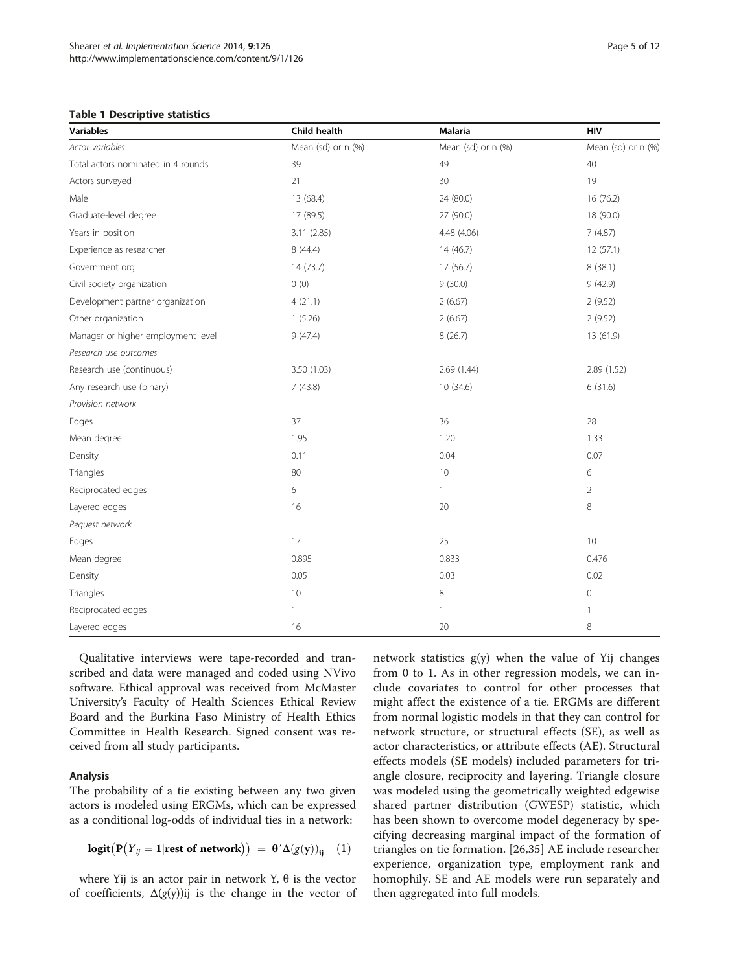#### <span id="page-4-0"></span>Table 1 Descriptive statistics

| <b>Variables</b>                   | Child health       | <b>Malaria</b>     | <b>HIV</b>     |  |
|------------------------------------|--------------------|--------------------|----------------|--|
| Actor variables                    | Mean (sd) or n (%) | Mean (sd) or n (%) |                |  |
| Total actors nominated in 4 rounds | 39                 | 49                 | 40             |  |
| Actors surveyed                    | 21                 | 30                 | 19             |  |
| Male                               | 13 (68.4)          | 24 (80.0)          | 16 (76.2)      |  |
| Graduate-level degree              | 17 (89.5)          | 27 (90.0)          | 18 (90.0)      |  |
| Years in position                  | 3.11(2.85)         | 4.48 (4.06)        | 7(4.87)        |  |
| Experience as researcher           | 8(44.4)            | 14(46.7)           | 12(57.1)       |  |
| Government org                     | 14(73.7)           | 17 (56.7)          | 8 (38.1)       |  |
| Civil society organization         | 0(0)               | 9(30.0)            | 9(42.9)        |  |
| Development partner organization   | 4(21.1)            | 2(6.67)            | 2(9.52)        |  |
| Other organization                 | 1(5.26)            | 2(6.67)            | 2(9.52)        |  |
| Manager or higher employment level | 9(47.4)            | 8(26.7)            | 13 (61.9)      |  |
| Research use outcomes              |                    |                    |                |  |
| Research use (continuous)          | 3.50 (1.03)        | 2.69(1.44)         | 2.89 (1.52)    |  |
| Any research use (binary)          | 7(43.8)            | 10(34.6)           | 6(31.6)        |  |
| Provision network                  |                    |                    |                |  |
| Edges                              | 37                 | 36                 | 28             |  |
| Mean degree                        | 1.95               | 1.20               | 1.33           |  |
| Density                            | 0.11               | 0.04               | 0.07           |  |
| Triangles                          | 80                 | 10                 | 6              |  |
| Reciprocated edges                 | 6                  | $\mathbf{1}$       | $\overline{2}$ |  |
| Layered edges                      | 16                 | 20                 | 8              |  |
| Request network                    |                    |                    |                |  |
| Edges                              | 17                 | 25                 | 10             |  |
| Mean degree                        | 0.895              | 0.833              | 0.476          |  |
| Density                            | 0.05               | 0.03               | 0.02           |  |
| Triangles                          | 10                 | $\,8\,$            | $\mathbf 0$    |  |
| Reciprocated edges                 | 1                  | 1.                 | $\mathbf{1}$   |  |
| Layered edges                      | 16                 | 20                 | 8              |  |

Qualitative interviews were tape-recorded and transcribed and data were managed and coded using NVivo software. Ethical approval was received from McMaster University's Faculty of Health Sciences Ethical Review Board and the Burkina Faso Ministry of Health Ethics Committee in Health Research. Signed consent was received from all study participants.

## Analysis

The probability of a tie existing between any two given actors is modeled using ERGMs, which can be expressed as a conditional log-odds of individual ties in a network:

$$
logit(P(Y_{ij} = 1 | rest of network)) = \theta' \Delta(g(y))_{ij} \quad (1)
$$

where Yij is an actor pair in network *Y*,  $θ$  is the vector of coefficients,  $\Delta(g(y))$ ij is the change in the vector of network statistics g(y) when the value of Yij changes from 0 to 1. As in other regression models, we can include covariates to control for other processes that might affect the existence of a tie. ERGMs are different from normal logistic models in that they can control for network structure, or structural effects (SE), as well as actor characteristics, or attribute effects (AE). Structural effects models (SE models) included parameters for triangle closure, reciprocity and layering. Triangle closure was modeled using the geometrically weighted edgewise shared partner distribution (GWESP) statistic, which has been shown to overcome model degeneracy by specifying decreasing marginal impact of the formation of triangles on tie formation. [[26,35](#page-11-0)] AE include researcher experience, organization type, employment rank and homophily. SE and AE models were run separately and then aggregated into full models.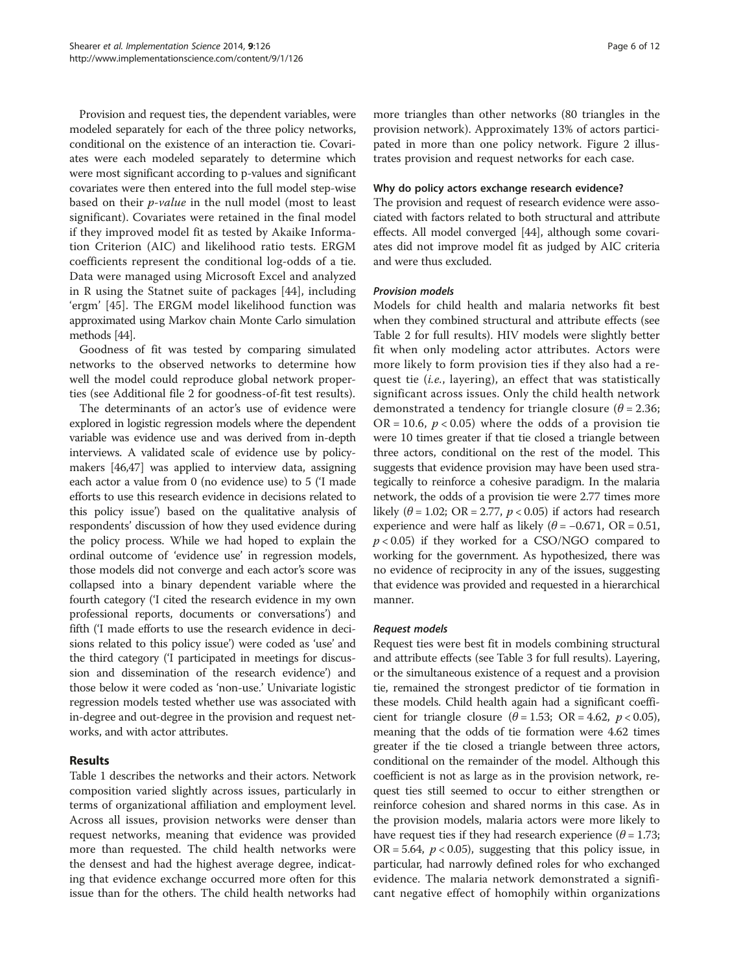Provision and request ties, the dependent variables, were modeled separately for each of the three policy networks, conditional on the existence of an interaction tie. Covariates were each modeled separately to determine which were most significant according to p-values and significant covariates were then entered into the full model step-wise based on their p-value in the null model (most to least significant). Covariates were retained in the final model if they improved model fit as tested by Akaike Information Criterion (AIC) and likelihood ratio tests. ERGM coefficients represent the conditional log-odds of a tie. Data were managed using Microsoft Excel and analyzed in R using the Statnet suite of packages [[44\]](#page-11-0), including 'ergm' [\[45](#page-11-0)]. The ERGM model likelihood function was approximated using Markov chain Monte Carlo simulation methods [\[44\]](#page-11-0).

Goodness of fit was tested by comparing simulated networks to the observed networks to determine how well the model could reproduce global network properties (see Additional file [2](#page-10-0) for goodness-of-fit test results).

The determinants of an actor's use of evidence were explored in logistic regression models where the dependent variable was evidence use and was derived from in-depth interviews. A validated scale of evidence use by policymakers [\[46,47\]](#page-11-0) was applied to interview data, assigning each actor a value from 0 (no evidence use) to 5 ('I made efforts to use this research evidence in decisions related to this policy issue') based on the qualitative analysis of respondents' discussion of how they used evidence during the policy process. While we had hoped to explain the ordinal outcome of 'evidence use' in regression models, those models did not converge and each actor's score was collapsed into a binary dependent variable where the fourth category ('I cited the research evidence in my own professional reports, documents or conversations') and fifth ('I made efforts to use the research evidence in decisions related to this policy issue') were coded as 'use' and the third category ('I participated in meetings for discussion and dissemination of the research evidence') and those below it were coded as 'non-use.' Univariate logistic regression models tested whether use was associated with in-degree and out-degree in the provision and request networks, and with actor attributes.

## Results

Table [1](#page-4-0) describes the networks and their actors. Network composition varied slightly across issues, particularly in terms of organizational affiliation and employment level. Across all issues, provision networks were denser than request networks, meaning that evidence was provided more than requested. The child health networks were the densest and had the highest average degree, indicating that evidence exchange occurred more often for this issue than for the others. The child health networks had more triangles than other networks (80 triangles in the provision network). Approximately 13% of actors participated in more than one policy network. Figure [2](#page-6-0) illustrates provision and request networks for each case.

## Why do policy actors exchange research evidence?

The provision and request of research evidence were associated with factors related to both structural and attribute effects. All model converged [\[44\]](#page-11-0), although some covariates did not improve model fit as judged by AIC criteria and were thus excluded.

## Provision models

Models for child health and malaria networks fit best when they combined structural and attribute effects (see Table [2](#page-7-0) for full results). HIV models were slightly better fit when only modeling actor attributes. Actors were more likely to form provision ties if they also had a request tie (i.e., layering), an effect that was statistically significant across issues. Only the child health network demonstrated a tendency for triangle closure ( $\theta$  = 2.36;  $OR = 10.6$ ,  $p < 0.05$ ) where the odds of a provision tie were 10 times greater if that tie closed a triangle between three actors, conditional on the rest of the model. This suggests that evidence provision may have been used strategically to reinforce a cohesive paradigm. In the malaria network, the odds of a provision tie were 2.77 times more likely ( $\theta$  = 1.02; OR = 2.77,  $p < 0.05$ ) if actors had research experience and were half as likely ( $\theta$  = −0.671, OR = 0.51,  $p < 0.05$ ) if they worked for a CSO/NGO compared to working for the government. As hypothesized, there was no evidence of reciprocity in any of the issues, suggesting that evidence was provided and requested in a hierarchical manner.

## Request models

Request ties were best fit in models combining structural and attribute effects (see Table [3](#page-8-0) for full results). Layering, or the simultaneous existence of a request and a provision tie, remained the strongest predictor of tie formation in these models. Child health again had a significant coefficient for triangle closure ( $\theta$  = 1.53; OR = 4.62,  $p$  < 0.05), meaning that the odds of tie formation were 4.62 times greater if the tie closed a triangle between three actors, conditional on the remainder of the model. Although this coefficient is not as large as in the provision network, request ties still seemed to occur to either strengthen or reinforce cohesion and shared norms in this case. As in the provision models, malaria actors were more likely to have request ties if they had research experience ( $\theta$  = 1.73;  $OR = 5.64$ ,  $p < 0.05$ ), suggesting that this policy issue, in particular, had narrowly defined roles for who exchanged evidence. The malaria network demonstrated a significant negative effect of homophily within organizations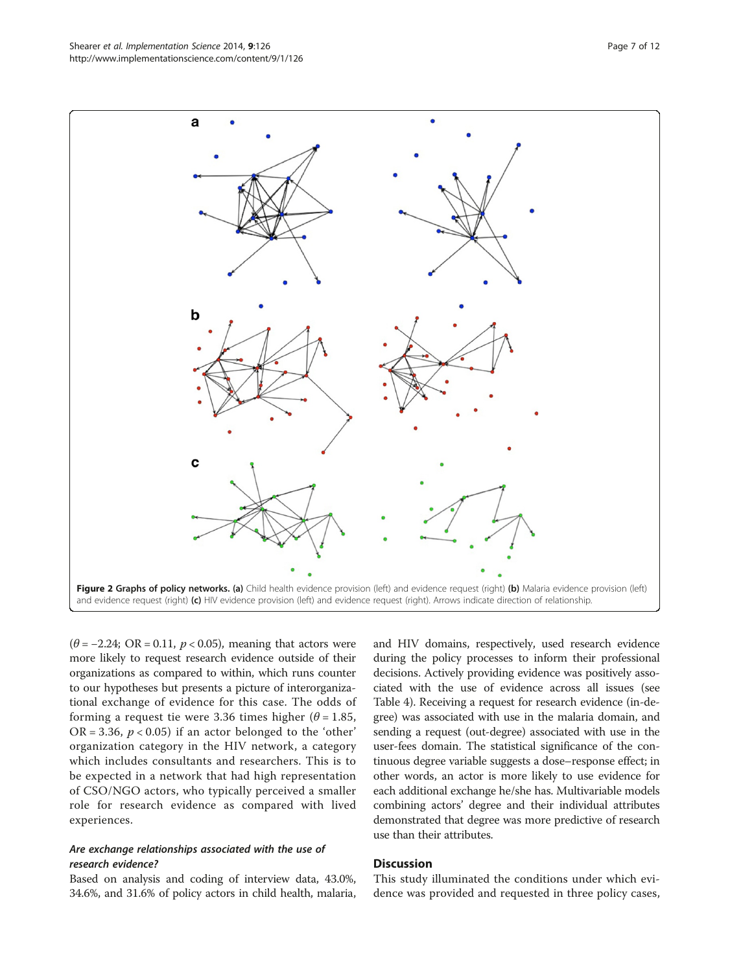<span id="page-6-0"></span>

 $(\theta = -2.24; \text{ OR } = 0.11, p < 0.05)$ , meaning that actors were more likely to request research evidence outside of their organizations as compared to within, which runs counter to our hypotheses but presents a picture of interorganizational exchange of evidence for this case. The odds of forming a request tie were 3.36 times higher ( $\theta$  = 1.85,  $OR = 3.36$ ,  $p < 0.05$ ) if an actor belonged to the 'other' organization category in the HIV network, a category which includes consultants and researchers. This is to be expected in a network that had high representation of CSO/NGO actors, who typically perceived a smaller role for research evidence as compared with lived experiences.

## Are exchange relationships associated with the use of research evidence?

Based on analysis and coding of interview data, 43.0%, 34.6%, and 31.6% of policy actors in child health, malaria,

and HIV domains, respectively, used research evidence during the policy processes to inform their professional decisions. Actively providing evidence was positively associated with the use of evidence across all issues (see Table [4](#page-9-0)). Receiving a request for research evidence (in-degree) was associated with use in the malaria domain, and sending a request (out-degree) associated with use in the user-fees domain. The statistical significance of the continuous degree variable suggests a dose–response effect; in other words, an actor is more likely to use evidence for each additional exchange he/she has. Multivariable models combining actors' degree and their individual attributes demonstrated that degree was more predictive of research use than their attributes.

## **Discussion**

This study illuminated the conditions under which evidence was provided and requested in three policy cases,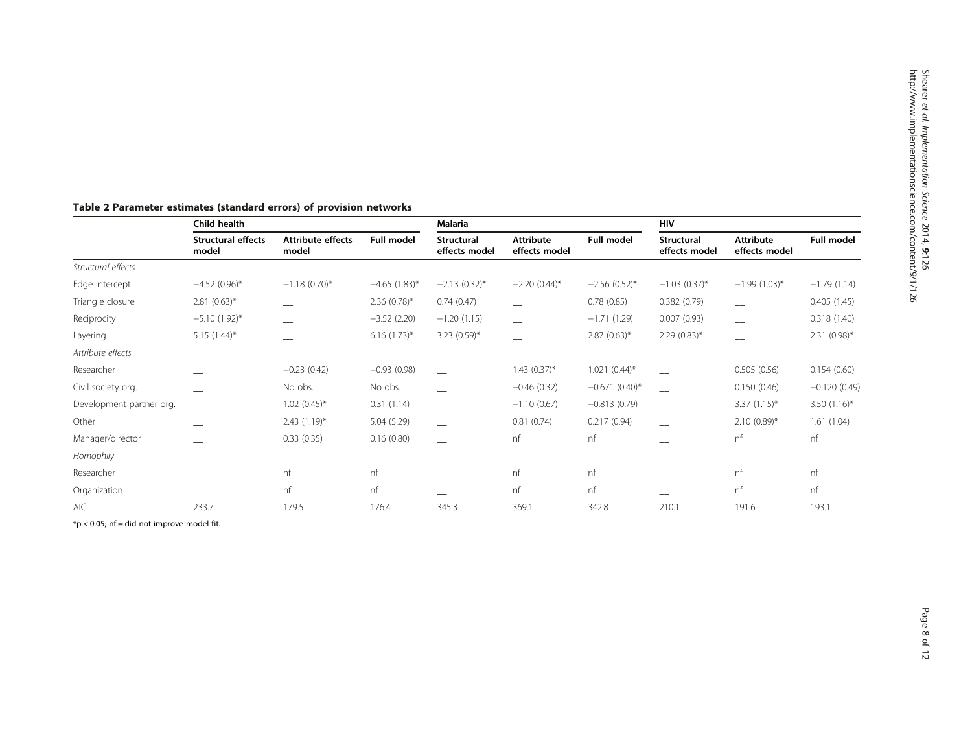|                          | Child health                       |                                   |                   | Malaria                            |                                   |                  | <b>HIV</b>                         |                                   |                 |
|--------------------------|------------------------------------|-----------------------------------|-------------------|------------------------------------|-----------------------------------|------------------|------------------------------------|-----------------------------------|-----------------|
|                          | <b>Structural effects</b><br>model | <b>Attribute effects</b><br>model | <b>Full model</b> | <b>Structural</b><br>effects model | <b>Attribute</b><br>effects model | Full model       | <b>Structural</b><br>effects model | <b>Attribute</b><br>effects model | Full model      |
| Structural effects       |                                    |                                   |                   |                                    |                                   |                  |                                    |                                   |                 |
| Edge intercept           | $-4.52(0.96)$ *                    | $-1.18(0.70)$ *                   | $-4.65$ (1.83)*   | $-2.13(0.32)^{*}$                  | $-2.20(0.44)$ *                   | $-2.56$ (0.52)*  | $-1.03$ (0.37)*                    | $-1.99(1.03)$ *                   | $-1.79(1.14)$   |
| Triangle closure         | $2.81(0.63)$ *                     |                                   | $2.36$ (0.78)*    | 0.74(0.47)                         |                                   | 0.78(0.85)       | 0.382(0.79)                        |                                   | 0.405(1.45)     |
| Reciprocity              | $-5.10(1.92)^{*}$                  |                                   | $-3.52(2.20)$     | $-1.20(1.15)$                      |                                   | $-1.71(1.29)$    | 0.007(0.93)                        |                                   | 0.318(1.40)     |
| Layering                 | $5.15(1.44)^{*}$                   |                                   | $6.16(1.73)$ *    | $3.23(0.59)$ *                     |                                   | $2.87(0.63)$ *   | $2.29(0.83)$ *                     |                                   | $2.31(0.98)$ *  |
| Attribute effects        |                                    |                                   |                   |                                    |                                   |                  |                                    |                                   |                 |
| Researcher               |                                    | $-0.23(0.42)$                     | $-0.93(0.98)$     |                                    | $1.43(0.37)$ *                    | $1.021(0.44)$ *  |                                    | 0.505(0.56)                       | 0.154(0.60)     |
| Civil society org.       |                                    | No obs.                           | No obs.           |                                    | $-0.46(0.32)$                     | $-0.671(0.40)$ * |                                    | 0.150(0.46)                       | $-0.120(0.49)$  |
| Development partner org. |                                    | $1.02$ (0.45)*                    | 0.31(1.14)        |                                    | $-1.10(0.67)$                     | $-0.813(0.79)$   | $\overline{\phantom{0}}$           | $3.37(1.15)^{*}$                  | 3.50 $(1.16)^*$ |
| Other                    |                                    | $2.43$ (1.19)*                    | 5.04(5.29)        |                                    | 0.81(0.74)                        | 0.217(0.94)      |                                    | $2.10(0.89)$ *                    | 1.61(1.04)      |
| Manager/director         |                                    | 0.33(0.35)                        | 0.16(0.80)        |                                    | nf                                | nf               |                                    | nf                                | nf              |
| Homophily                |                                    |                                   |                   |                                    |                                   |                  |                                    |                                   |                 |
| Researcher               |                                    | nf                                | nf                |                                    | nf                                | nf               |                                    | nf                                | nf              |
| Organization             |                                    | nf                                | nf                |                                    | nf                                | nf               |                                    | nf                                | nf              |
| AIC                      | 233.7                              | 179.5                             | 176.4             | 345.3                              | 369.1                             | 342.8            | 210.1                              | 191.6                             | 193.1           |

## <span id="page-7-0"></span>Table 2 Parameter estimates (standard errors) of provision networks

 $*_{p < 0.05}$ ; nf = did not improve model fit.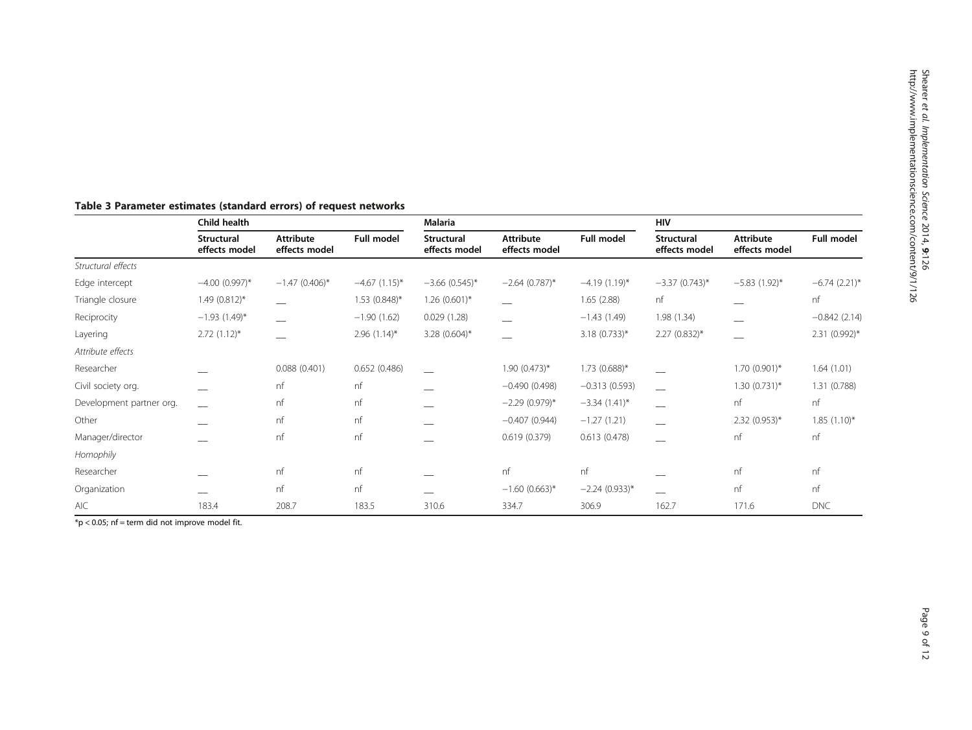|                          | Child health                |                                   |                  | Malaria                     |                                   |                   | <b>HIV</b>                  |                                   |                   |
|--------------------------|-----------------------------|-----------------------------------|------------------|-----------------------------|-----------------------------------|-------------------|-----------------------------|-----------------------------------|-------------------|
|                          | Structural<br>effects model | <b>Attribute</b><br>effects model | Full model       | Structural<br>effects model | <b>Attribute</b><br>effects model | <b>Full model</b> | Structural<br>effects model | <b>Attribute</b><br>effects model | <b>Full model</b> |
| Structural effects       |                             |                                   |                  |                             |                                   |                   |                             |                                   |                   |
| Edge intercept           | $-4.00(0.997)$ *            | $-1.47(0.406)$ *                  | $-4.67$ (1.15)*  | $-3.66$ (0.545)*            | $-2.64(0.787)^{*}$                | $-4.19(1.19)^{*}$ | $-3.37(0.743)$ *            | $-5.83(1.92)^{*}$                 | $-6.74$ (2.21)*   |
| Triangle closure         | $1.49(0.812)$ *             |                                   | $1.53$ (0.848)*  | $1.26(0.601)$ *             |                                   | 1.65(2.88)        | nf                          |                                   | nf                |
| Reciprocity              | $-1.93(1.49)^{*}$           |                                   | $-1.90(1.62)$    | 0.029(1.28)                 |                                   | $-1.43(1.49)$     | 1.98(1.34)                  |                                   | $-0.842(2.14)$    |
| Layering                 | $2.72(1.12)^{*}$            |                                   | $2.96(1.14)^{*}$ | $3.28$ (0.604)*             |                                   | $3.18(0.733)^{*}$ | $2.27(0.832)$ *             |                                   | 2.31 (0.992)*     |
| Attribute effects        |                             |                                   |                  |                             |                                   |                   |                             |                                   |                   |
| Researcher               |                             | 0.088(0.401)                      | 0.652(0.486)     |                             | $1.90(0.473)^{*}$                 | $1.73$ (0.688)*   |                             | $1.70(0.901)^{*}$                 | 1.64(1.01)        |
| Civil society org.       |                             | nf                                | nf               |                             | $-0.490(0.498)$                   | $-0.313(0.593)$   |                             | $1.30(0.731)^{*}$                 | 1.31 (0.788)      |
| Development partner org. |                             | nf                                | nf               |                             | $-2.29(0.979)*$                   | $-3.34(1.41)^{*}$ |                             | nf                                | nf                |
| Other                    |                             | nf                                | nf               |                             | $-0.407(0.944)$                   | $-1.27(1.21)$     |                             | $2.32(0.953)*$                    | $1.85(1.10)^{*}$  |
| Manager/director         |                             | nf                                | nf               |                             | 0.619(0.379)                      | 0.613(0.478)      |                             | nf                                | nf                |
| Homophily                |                             |                                   |                  |                             |                                   |                   |                             |                                   |                   |
| Researcher               |                             | nf                                | nf               |                             | nf                                | nf                |                             | n f                               | nf                |
| Organization             |                             | nf                                | nf               |                             | $-1.60$ (0.663)*                  | $-2.24(0.933)*$   |                             | nf                                | nf                |
| AIC                      | 183.4                       | 208.7                             | 183.5            | 310.6                       | 334.7                             | 306.9             | 162.7                       | 171.6                             | <b>DNC</b>        |

## <span id="page-8-0"></span>Table 3 Parameter estimates (standard errors) of request networks

 $\frac{1}{2}$   $\frac{1}{2}$   $\frac{1}{2}$   $\frac{1}{2}$   $\frac{1}{2}$   $\frac{1}{2}$   $\frac{1}{2}$   $\frac{1}{2}$   $\frac{1}{2}$   $\frac{1}{2}$   $\frac{1}{2}$   $\frac{1}{2}$   $\frac{1}{2}$   $\frac{1}{2}$   $\frac{1}{2}$   $\frac{1}{2}$   $\frac{1}{2}$   $\frac{1}{2}$   $\frac{1}{2}$   $\frac{1}{2}$   $\frac{1}{2}$   $\frac{1}{2}$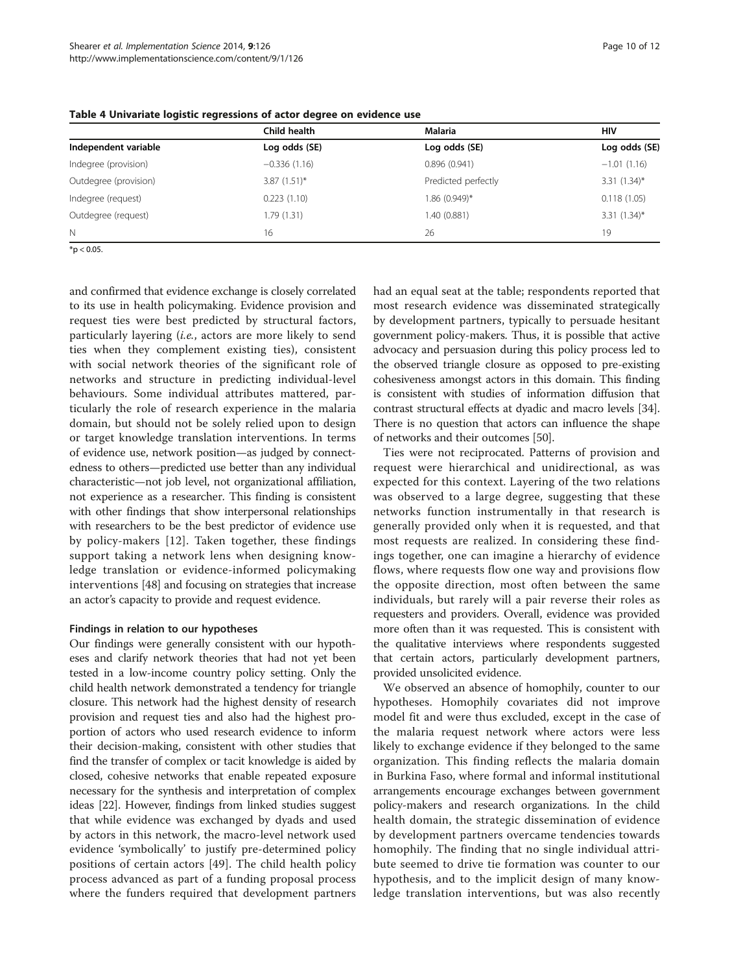| Child health     | <b>Malaria</b>      | HIV            |
|------------------|---------------------|----------------|
| Log odds (SE)    | Log odds (SE)       | Log odds (SE)  |
| $-0.336(1.16)$   | 0.896(0.941)        | $-1.01(1.16)$  |
| $3.87(1.51)^{*}$ | Predicted perfectly | $3.31(1.34)^*$ |
| 0.223(1.10)      | 1.86 (0.949)*       | 0.118(1.05)    |
| 1.79(1.31)       | 1.40 (0.881)        | $3.31(1.34)^*$ |
| 16               | 26                  | 19             |
|                  |                     |                |

<span id="page-9-0"></span>Table 4 Univariate logistic regressions of actor degree on evidence use

 $*$ p < 0.05.

and confirmed that evidence exchange is closely correlated to its use in health policymaking. Evidence provision and request ties were best predicted by structural factors, particularly layering (i.e., actors are more likely to send ties when they complement existing ties), consistent with social network theories of the significant role of networks and structure in predicting individual-level behaviours. Some individual attributes mattered, particularly the role of research experience in the malaria domain, but should not be solely relied upon to design or target knowledge translation interventions. In terms of evidence use, network position—as judged by connectedness to others—predicted use better than any individual characteristic—not job level, not organizational affiliation, not experience as a researcher. This finding is consistent with other findings that show interpersonal relationships with researchers to be the best predictor of evidence use by policy-makers [\[12\]](#page-11-0). Taken together, these findings support taking a network lens when designing knowledge translation or evidence-informed policymaking interventions [[48](#page-11-0)] and focusing on strategies that increase an actor's capacity to provide and request evidence.

## Findings in relation to our hypotheses

Our findings were generally consistent with our hypotheses and clarify network theories that had not yet been tested in a low-income country policy setting. Only the child health network demonstrated a tendency for triangle closure. This network had the highest density of research provision and request ties and also had the highest proportion of actors who used research evidence to inform their decision-making, consistent with other studies that find the transfer of complex or tacit knowledge is aided by closed, cohesive networks that enable repeated exposure necessary for the synthesis and interpretation of complex ideas [[22](#page-11-0)]. However, findings from linked studies suggest that while evidence was exchanged by dyads and used by actors in this network, the macro-level network used evidence 'symbolically' to justify pre-determined policy positions of certain actors [\[49\]](#page-11-0). The child health policy process advanced as part of a funding proposal process where the funders required that development partners had an equal seat at the table; respondents reported that most research evidence was disseminated strategically by development partners, typically to persuade hesitant government policy-makers. Thus, it is possible that active advocacy and persuasion during this policy process led to the observed triangle closure as opposed to pre-existing cohesiveness amongst actors in this domain. This finding is consistent with studies of information diffusion that contrast structural effects at dyadic and macro levels [[34](#page-11-0)]. There is no question that actors can influence the shape of networks and their outcomes [[50](#page-11-0)].

Ties were not reciprocated. Patterns of provision and request were hierarchical and unidirectional, as was expected for this context. Layering of the two relations was observed to a large degree, suggesting that these networks function instrumentally in that research is generally provided only when it is requested, and that most requests are realized. In considering these findings together, one can imagine a hierarchy of evidence flows, where requests flow one way and provisions flow the opposite direction, most often between the same individuals, but rarely will a pair reverse their roles as requesters and providers. Overall, evidence was provided more often than it was requested. This is consistent with the qualitative interviews where respondents suggested that certain actors, particularly development partners, provided unsolicited evidence.

We observed an absence of homophily, counter to our hypotheses. Homophily covariates did not improve model fit and were thus excluded, except in the case of the malaria request network where actors were less likely to exchange evidence if they belonged to the same organization. This finding reflects the malaria domain in Burkina Faso, where formal and informal institutional arrangements encourage exchanges between government policy-makers and research organizations. In the child health domain, the strategic dissemination of evidence by development partners overcame tendencies towards homophily. The finding that no single individual attribute seemed to drive tie formation was counter to our hypothesis, and to the implicit design of many knowledge translation interventions, but was also recently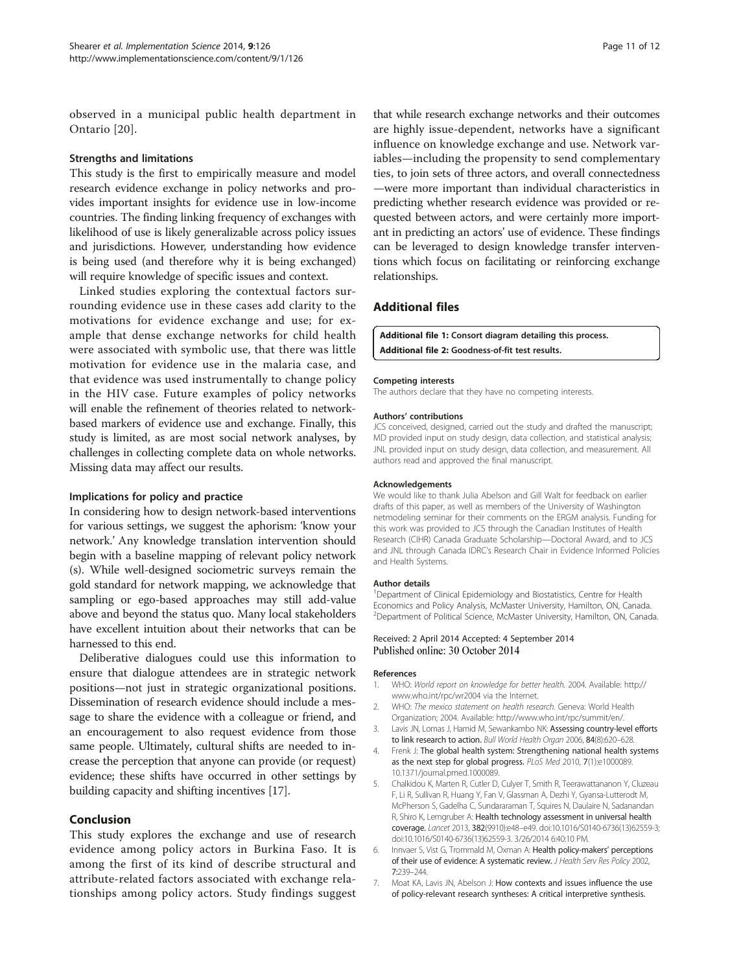<span id="page-10-0"></span>observed in a municipal public health department in Ontario [[20](#page-11-0)].

## Strengths and limitations

This study is the first to empirically measure and model research evidence exchange in policy networks and provides important insights for evidence use in low-income countries. The finding linking frequency of exchanges with likelihood of use is likely generalizable across policy issues and jurisdictions. However, understanding how evidence is being used (and therefore why it is being exchanged) will require knowledge of specific issues and context.

Linked studies exploring the contextual factors surrounding evidence use in these cases add clarity to the motivations for evidence exchange and use; for example that dense exchange networks for child health were associated with symbolic use, that there was little motivation for evidence use in the malaria case, and that evidence was used instrumentally to change policy in the HIV case. Future examples of policy networks will enable the refinement of theories related to networkbased markers of evidence use and exchange. Finally, this study is limited, as are most social network analyses, by challenges in collecting complete data on whole networks. Missing data may affect our results.

## Implications for policy and practice

In considering how to design network-based interventions for various settings, we suggest the aphorism: 'know your network.' Any knowledge translation intervention should begin with a baseline mapping of relevant policy network (s). While well-designed sociometric surveys remain the gold standard for network mapping, we acknowledge that sampling or ego-based approaches may still add-value above and beyond the status quo. Many local stakeholders have excellent intuition about their networks that can be harnessed to this end.

Deliberative dialogues could use this information to ensure that dialogue attendees are in strategic network positions—not just in strategic organizational positions. Dissemination of research evidence should include a message to share the evidence with a colleague or friend, and an encouragement to also request evidence from those same people. Ultimately, cultural shifts are needed to increase the perception that anyone can provide (or request) evidence; these shifts have occurred in other settings by building capacity and shifting incentives [\[17\]](#page-11-0).

## Conclusion

This study explores the exchange and use of research evidence among policy actors in Burkina Faso. It is among the first of its kind of describe structural and attribute-related factors associated with exchange relationships among policy actors. Study findings suggest

that while research exchange networks and their outcomes are highly issue-dependent, networks have a significant influence on knowledge exchange and use. Network variables—including the propensity to send complementary ties, to join sets of three actors, and overall connectedness —were more important than individual characteristics in predicting whether research evidence was provided or requested between actors, and were certainly more important in predicting an actors' use of evidence. These findings can be leveraged to design knowledge transfer interventions which focus on facilitating or reinforcing exchange relationships.

## Additional files

[Additional file 1:](http://www.implementationscience.com/content/supplementary/s13012-014-0126-8-s1.jpeg) Consort diagram detailing this process. [Additional file 2:](http://www.implementationscience.com/content/supplementary/s13012-014-0126-8-s2.tiff) Goodness-of-fit test results.

#### Competing interests

The authors declare that they have no competing interests.

#### Authors' contributions

JCS conceived, designed, carried out the study and drafted the manuscript; MD provided input on study design, data collection, and statistical analysis; JNL provided input on study design, data collection, and measurement. All authors read and approved the final manuscript.

#### Acknowledgements

We would like to thank Julia Abelson and Gill Walt for feedback on earlier drafts of this paper, as well as members of the University of Washington netmodeling seminar for their comments on the ERGM analysis. Funding for this work was provided to JCS through the Canadian Institutes of Health Research (CIHR) Canada Graduate Scholarship—Doctoral Award, and to JCS and JNL through Canada IDRC's Research Chair in Evidence Informed Policies and Health Systems.

#### Author details

<sup>1</sup>Department of Clinical Epidemiology and Biostatistics, Centre for Health Economics and Policy Analysis, McMaster University, Hamilton, ON, Canada. <sup>2</sup>Department of Political Science, McMaster University, Hamilton, ON, Canada

#### Received: 2 April 2014 Accepted: 4 September 2014 Published online: 30 October 2014

#### References

- 1. WHO: World report on knowledge for better health. 2004. Available: http:// www.who.int/rpc/wr2004 via the Internet.
- 2. WHO: The mexico statement on health research. Geneva: World Health Organization; 2004. Available: [http://www.who.int/rpc/summit/en/.](http://www.who.int/rpc/summit/en/)
- 3. Lavis JN, Lomas J, Hamid M, Sewankambo NK: Assessing country-level efforts to link research to action. Bull World Health Organ 2006, 84(8):620–628.
- 4. Frenk J: The global health system: Strengthening national health systems as the next step for global progress. PLoS Med 2010, 7(1):e1000089. 10.1371/journal.pmed.1000089.
- 5. Chalkidou K, Marten R, Cutler D, Culyer T, Smith R, Teerawattananon Y, Cluzeau F, Li R, Sullivan R, Huang Y, Fan V, Glassman A, Dezhi Y, Gyansa-Lutterodt M, McPherson S, Gadelha C, Sundararaman T, Squires N, Daulaire N, Sadanandan R, Shiro K, Lemgruber A: Health technology assessment in universal health coverage. Lancet 2013, 382(9910):e48–e49. doi:10.1016/S0140-6736(13)62559-3; doi:10.1016/S0140-6736(13)62559-3. 3/26/2014 6:40:10 PM.
- 6. Innvaer S, Vist G, Trommald M, Oxman A: Health policy-makers' perceptions of their use of evidence: A systematic review. J Health Serv Res Policy 2002, 7:239–244.
- 7. Moat KA, Lavis JN, Abelson J: How contexts and issues influence the use of policy-relevant research syntheses: A critical interpretive synthesis.